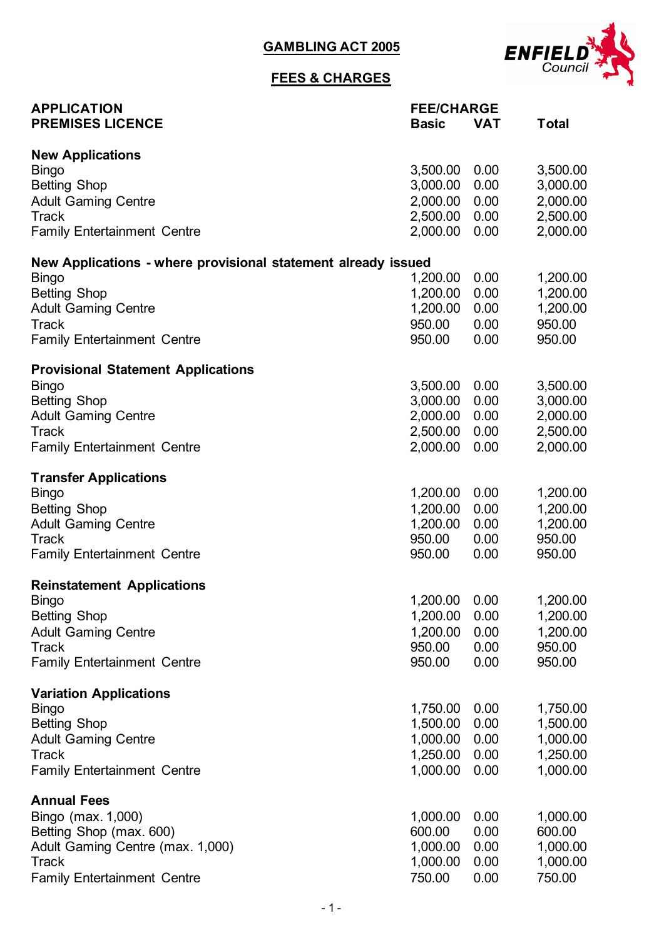**GAMBLING ACT 2005**



## **FEES & CHARGES**

| <b>APPLICATION</b>                                            |               | <b>FEE/CHARGE</b> |              |  |
|---------------------------------------------------------------|---------------|-------------------|--------------|--|
| <b>PREMISES LICENCE</b>                                       | <b>Basic</b>  | <b>VAT</b>        | <b>Total</b> |  |
| <b>New Applications</b>                                       |               |                   |              |  |
| <b>Bingo</b>                                                  | 3,500.00      | 0.00              | 3,500.00     |  |
| <b>Betting Shop</b>                                           | 3,000.00      | 0.00              | 3,000.00     |  |
| <b>Adult Gaming Centre</b>                                    | 2,000.00      | 0.00              | 2,000.00     |  |
| <b>Track</b>                                                  | 2,500.00      | 0.00              | 2,500.00     |  |
| <b>Family Entertainment Centre</b>                            | 2,000.00      | 0.00              | 2,000.00     |  |
| New Applications - where provisional statement already issued |               |                   |              |  |
| <b>Bingo</b>                                                  | 1,200.00      | 0.00              | 1,200.00     |  |
| <b>Betting Shop</b>                                           | 1,200.00      | 0.00              | 1,200.00     |  |
| <b>Adult Gaming Centre</b>                                    | 1,200.00      | 0.00              | 1,200.00     |  |
| <b>Track</b>                                                  | 950.00        | 0.00              | 950.00       |  |
| <b>Family Entertainment Centre</b>                            | 950.00        | 0.00              | 950.00       |  |
| <b>Provisional Statement Applications</b>                     |               |                   |              |  |
| <b>Bingo</b>                                                  | 3,500.00      | 0.00              | 3,500.00     |  |
| <b>Betting Shop</b>                                           | 3,000.00      | 0.00              | 3,000.00     |  |
| <b>Adult Gaming Centre</b>                                    | 2,000.00      | 0.00              | 2,000.00     |  |
| <b>Track</b>                                                  | 2,500.00      | 0.00              | 2,500.00     |  |
| <b>Family Entertainment Centre</b>                            | 2,000.00      | 0.00              | 2,000.00     |  |
| <b>Transfer Applications</b>                                  |               |                   |              |  |
| <b>Bingo</b>                                                  | 1,200.00      | 0.00              | 1,200.00     |  |
| <b>Betting Shop</b>                                           | 1,200.00      | 0.00              | 1,200.00     |  |
| <b>Adult Gaming Centre</b>                                    | 1,200.00      | 0.00              | 1,200.00     |  |
| <b>Track</b>                                                  | 950.00        | 0.00              | 950.00       |  |
| <b>Family Entertainment Centre</b>                            | 950.00        | 0.00              | 950.00       |  |
| <b>Reinstatement Applications</b>                             |               |                   |              |  |
| <b>Bingo</b>                                                  | 1,200.00 0.00 |                   | 1,200.00     |  |
| <b>Betting Shop</b>                                           | 1,200.00      | 0.00              | 1,200.00     |  |
| <b>Adult Gaming Centre</b>                                    | 1,200.00      | 0.00              | 1,200.00     |  |
| <b>Track</b>                                                  | 950.00        | 0.00              | 950.00       |  |
| <b>Family Entertainment Centre</b>                            | 950.00        | 0.00              | 950.00       |  |
| <b>Variation Applications</b>                                 |               |                   |              |  |
| <b>Bingo</b>                                                  | 1,750.00      | 0.00              | 1,750.00     |  |
| <b>Betting Shop</b>                                           | 1,500.00      | 0.00              | 1,500.00     |  |
| <b>Adult Gaming Centre</b>                                    | 1,000.00      | 0.00              | 1,000.00     |  |
| <b>Track</b>                                                  | 1,250.00      | 0.00              | 1,250.00     |  |
| <b>Family Entertainment Centre</b>                            | 1,000.00      | 0.00              | 1,000.00     |  |
| <b>Annual Fees</b>                                            |               |                   |              |  |
| Bingo (max. 1,000)                                            | 1,000.00      | 0.00              | 1,000.00     |  |
| Betting Shop (max. 600)                                       | 600.00        | 0.00              | 600.00       |  |
| Adult Gaming Centre (max. 1,000)                              | 1,000.00      | 0.00              | 1,000.00     |  |
| <b>Track</b>                                                  | 1,000.00      | 0.00              | 1,000.00     |  |
| <b>Family Entertainment Centre</b>                            | 750.00        | 0.00              | 750.00       |  |